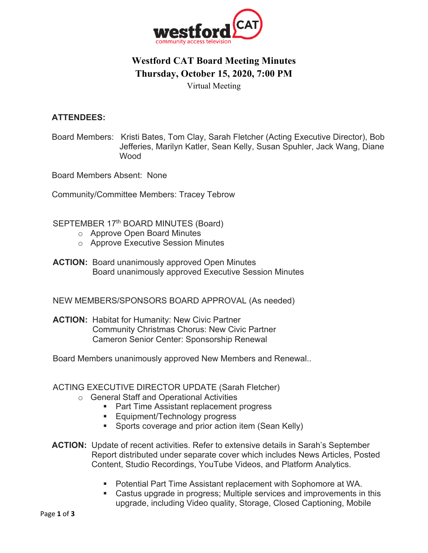

# **Westford CAT Board Meeting Minutes Thursday, October 15, 2020, 7:00 PM**

Virtual Meeting

#### **ATTENDEES:**

Board Members: Kristi Bates, Tom Clay, Sarah Fletcher (Acting Executive Director), Bob Jefferies, Marilyn Katler, Sean Kelly, Susan Spuhler, Jack Wang, Diane Wood

Board Members Absent: None

Community/Committee Members: Tracey Tebrow

SEPTEMBER 17<sup>th</sup> BOARD MINUTES (Board)

- o Approve Open Board Minutes
- o Approve Executive Session Minutes
- **ACTION:** Board unanimously approved Open Minutes Board unanimously approved Executive Session Minutes

NEW MEMBERS/SPONSORS BOARD APPROVAL (As needed)

**ACTION:** Habitat for Humanity: New Civic Partner Community Christmas Chorus: New Civic Partner Cameron Senior Center: Sponsorship Renewal

Board Members unanimously approved New Members and Renewal..

#### ACTING EXECUTIVE DIRECTOR UPDATE (Sarah Fletcher)

- o General Staff and Operational Activities
	- Part Time Assistant replacement progress
	- Equipment/Technology progress
	- Sports coverage and prior action item (Sean Kelly)
- **ACTION:** Update of recent activities. Refer to extensive details in Sarah's September Report distributed under separate cover which includes News Articles, Posted Content, Studio Recordings, YouTube Videos, and Platform Analytics.
	- Potential Part Time Assistant replacement with Sophomore at WA.
	- Castus upgrade in progress; Multiple services and improvements in this upgrade, including Video quality, Storage, Closed Captioning, Mobile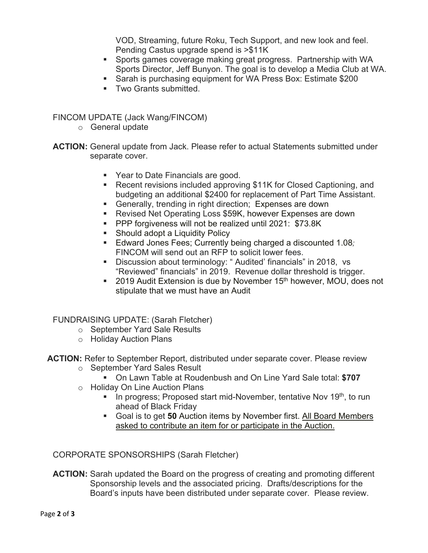VOD, Streaming, future Roku, Tech Support, and new look and feel. Pending Castus upgrade spend is >\$11K

- § Sports games coverage making great progress. Partnership with WA Sports Director, Jeff Bunyon. The goal is to develop a Media Club at WA.
- Sarah is purchasing equipment for WA Press Box: Estimate \$200
- Two Grants submitted.

FINCOM UPDATE (Jack Wang/FINCOM)

- o General update
- **ACTION:** General update from Jack. Please refer to actual Statements submitted under separate cover.
	- Year to Date Financials are good.
	- Recent revisions included approving \$11K for Closed Captioning, and budgeting an additional \$2400 for replacement of Part Time Assistant.
	- Generally, trending in right direction; Expenses are down
	- Revised Net Operating Loss \$59K, however Expenses are down
	- § PPP forgiveness will not be realized until 2021: \$73.8K
	- Should adopt a Liquidity Policy
	- § Edward Jones Fees; Currently being charged a discounted 1.08*;*  FINCOM will send out an RFP to solicit lower fees.
	- Discussion about terminology: "Audited' financials" in 2018, vs "Reviewed" financials" in 2019. Revenue dollar threshold is trigger.
	- 2019 Audit Extension is due by November 15<sup>th</sup> however, MOU, does not stipulate that we must have an Audit

#### FUNDRAISING UPDATE: (Sarah Fletcher)

- o September Yard Sale Results
- o Holiday Auction Plans
- **ACTION:** Refer to September Report, distributed under separate cover. Please review
	- o September Yard Sales Result
		- § On Lawn Table at Roudenbush and On Line Yard Sale total: **\$707**
	- o Holiday On Line Auction Plans
		- **If** In progress; Proposed start mid-November, tentative Nov 19<sup>th</sup>, to run ahead of Black Friday
		- Goal is to get **50** Auction items by November first. All Board Members asked to contribute an item for or participate in the Auction.

CORPORATE SPONSORSHIPS (Sarah Fletcher)

**ACTION:** Sarah updated the Board on the progress of creating and promoting different Sponsorship levels and the associated pricing. Drafts/descriptions for the Board's inputs have been distributed under separate cover. Please review.